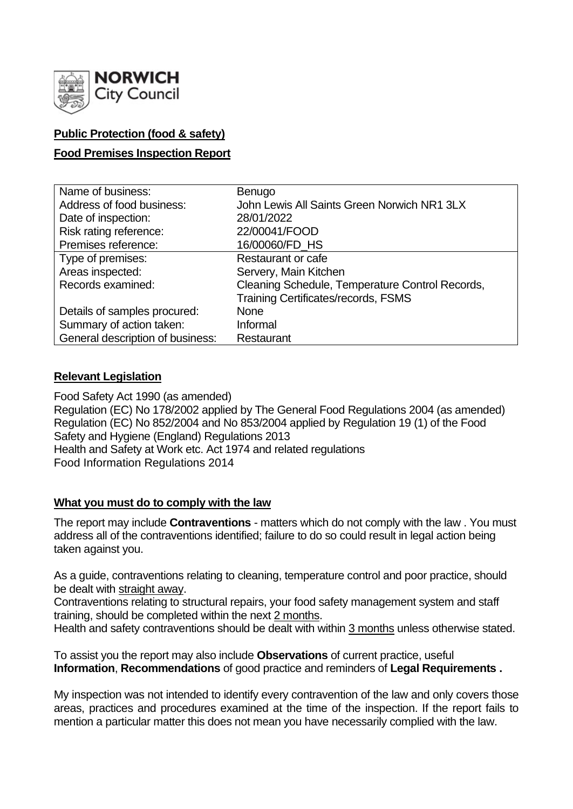

# **Public Protection (food & safety)**

# **Food Premises Inspection Report**

| Name of business:                | Benugo                                          |
|----------------------------------|-------------------------------------------------|
| Address of food business:        | John Lewis All Saints Green Norwich NR1 3LX     |
| Date of inspection:              | 28/01/2022                                      |
| Risk rating reference:           | 22/00041/FOOD                                   |
| Premises reference:              | 16/00060/FD HS                                  |
| Type of premises:                | <b>Restaurant or cafe</b>                       |
| Areas inspected:                 | Servery, Main Kitchen                           |
| Records examined:                | Cleaning Schedule, Temperature Control Records, |
|                                  | <b>Training Certificates/records, FSMS</b>      |
| Details of samples procured:     | <b>None</b>                                     |
| Summary of action taken:         | Informal                                        |
| General description of business: | Restaurant                                      |

## **Relevant Legislation**

Food Safety Act 1990 (as amended) Regulation (EC) No 178/2002 applied by The General Food Regulations 2004 (as amended) Regulation (EC) No 852/2004 and No 853/2004 applied by Regulation 19 (1) of the Food Safety and Hygiene (England) Regulations 2013 Health and Safety at Work etc. Act 1974 and related regulations Food Information Regulations 2014

## **What you must do to comply with the law**

The report may include **Contraventions** - matters which do not comply with the law . You must address all of the contraventions identified; failure to do so could result in legal action being taken against you.

As a guide, contraventions relating to cleaning, temperature control and poor practice, should be dealt with straight away.

Contraventions relating to structural repairs, your food safety management system and staff training, should be completed within the next 2 months.

Health and safety contraventions should be dealt with within 3 months unless otherwise stated.

To assist you the report may also include **Observations** of current practice, useful **Information**, **Recommendations** of good practice and reminders of **Legal Requirements .**

My inspection was not intended to identify every contravention of the law and only covers those areas, practices and procedures examined at the time of the inspection. If the report fails to mention a particular matter this does not mean you have necessarily complied with the law.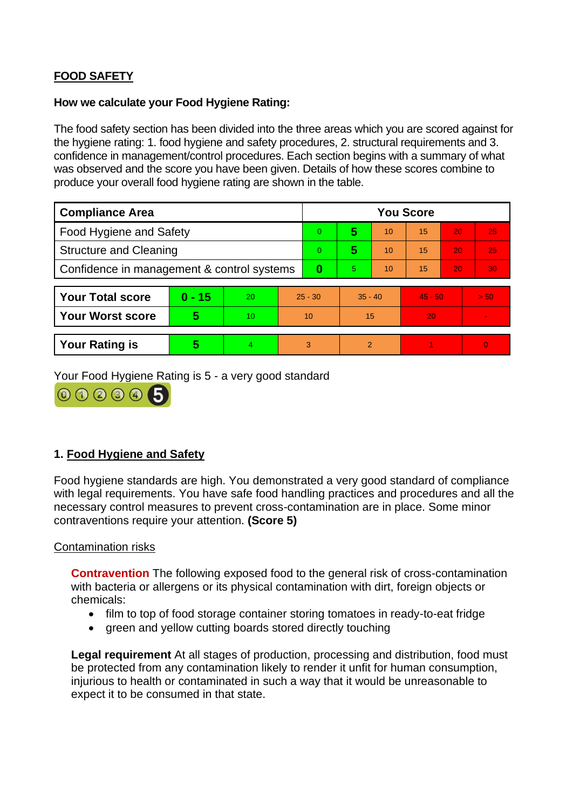# **FOOD SAFETY**

### **How we calculate your Food Hygiene Rating:**

The food safety section has been divided into the three areas which you are scored against for the hygiene rating: 1. food hygiene and safety procedures, 2. structural requirements and 3. confidence in management/control procedures. Each section begins with a summary of what was observed and the score you have been given. Details of how these scores combine to produce your overall food hygiene rating are shown in the table.

| <b>Compliance Area</b>                     |          |                      |           | <b>You Score</b> |               |    |           |    |                |  |
|--------------------------------------------|----------|----------------------|-----------|------------------|---------------|----|-----------|----|----------------|--|
| <b>Food Hygiene and Safety</b>             |          |                      |           | $\overline{0}$   | 5             | 10 | 15        | 20 | 25             |  |
| <b>Structure and Cleaning</b>              |          |                      |           | $\Omega$         | 5             | 10 | 15        | 20 | 25             |  |
| Confidence in management & control systems |          |                      |           | $\bf{0}$         | 5.            | 10 | 15        | 20 | 30             |  |
|                                            |          |                      |           |                  |               |    |           |    |                |  |
| <b>Your Total score</b>                    | $0 - 15$ | 20                   | $25 - 30$ |                  | $35 - 40$     |    | $45 - 50$ |    | > 50           |  |
| <b>Your Worst score</b>                    | 5        | 10                   | 10        |                  | 15            |    | 20        |    | $\sim$         |  |
|                                            |          |                      |           |                  |               |    |           |    |                |  |
| <b>Your Rating is</b>                      | 5        | $\blacktriangleleft$ | 3         |                  | $\mathcal{P}$ |    |           |    | $\overline{0}$ |  |

Your Food Hygiene Rating is 5 - a very good standard



# **1. Food Hygiene and Safety**

Food hygiene standards are high. You demonstrated a very good standard of compliance with legal requirements. You have safe food handling practices and procedures and all the necessary control measures to prevent cross-contamination are in place. Some minor contraventions require your attention. **(Score 5)**

## Contamination risks

**Contravention** The following exposed food to the general risk of cross-contamination with bacteria or allergens or its physical contamination with dirt, foreign objects or chemicals:

- film to top of food storage container storing tomatoes in ready-to-eat fridge
- green and yellow cutting boards stored directly touching

**Legal requirement** At all stages of production, processing and distribution, food must be protected from any contamination likely to render it unfit for human consumption, injurious to health or contaminated in such a way that it would be unreasonable to expect it to be consumed in that state.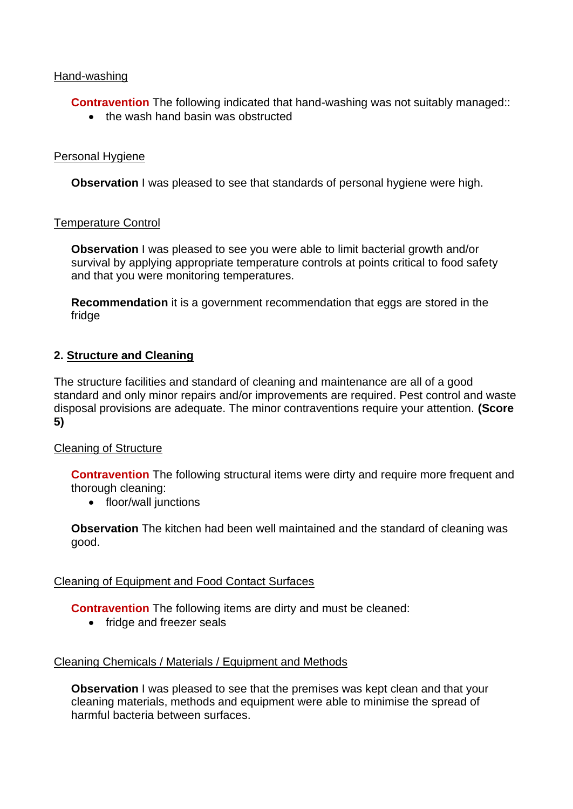## Hand-washing

**Contravention** The following indicated that hand-washing was not suitably managed::

• the wash hand basin was obstructed

### Personal Hygiene

**Observation** I was pleased to see that standards of personal hygiene were high.

#### Temperature Control

**Observation** I was pleased to see you were able to limit bacterial growth and/or survival by applying appropriate temperature controls at points critical to food safety and that you were monitoring temperatures.

**Recommendation** it is a government recommendation that eggs are stored in the fridge

#### **2. Structure and Cleaning**

The structure facilities and standard of cleaning and maintenance are all of a good standard and only minor repairs and/or improvements are required. Pest control and waste disposal provisions are adequate. The minor contraventions require your attention. **(Score 5)**

## Cleaning of Structure

**Contravention** The following structural items were dirty and require more frequent and thorough cleaning:

• floor/wall junctions

**Observation** The kitchen had been well maintained and the standard of cleaning was good.

#### Cleaning of Equipment and Food Contact Surfaces

**Contravention** The following items are dirty and must be cleaned:

• fridge and freezer seals

## Cleaning Chemicals / Materials / Equipment and Methods

**Observation** I was pleased to see that the premises was kept clean and that your cleaning materials, methods and equipment were able to minimise the spread of harmful bacteria between surfaces.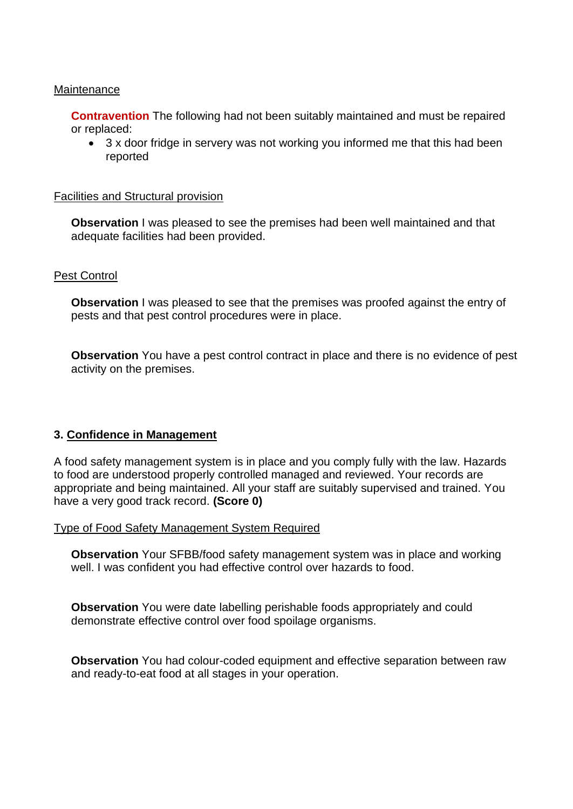#### **Maintenance**

**Contravention** The following had not been suitably maintained and must be repaired or replaced:

• 3 x door fridge in servery was not working you informed me that this had been reported

#### Facilities and Structural provision

**Observation** I was pleased to see the premises had been well maintained and that adequate facilities had been provided.

#### Pest Control

**Observation** I was pleased to see that the premises was proofed against the entry of pests and that pest control procedures were in place.

**Observation** You have a pest control contract in place and there is no evidence of pest activity on the premises.

## **3. Confidence in Management**

A food safety management system is in place and you comply fully with the law. Hazards to food are understood properly controlled managed and reviewed. Your records are appropriate and being maintained. All your staff are suitably supervised and trained. You have a very good track record. **(Score 0)**

Type of Food Safety Management System Required

**Observation** Your SFBB/food safety management system was in place and working well. I was confident you had effective control over hazards to food.

**Observation** You were date labelling perishable foods appropriately and could demonstrate effective control over food spoilage organisms.

**Observation** You had colour-coded equipment and effective separation between raw and ready-to-eat food at all stages in your operation.